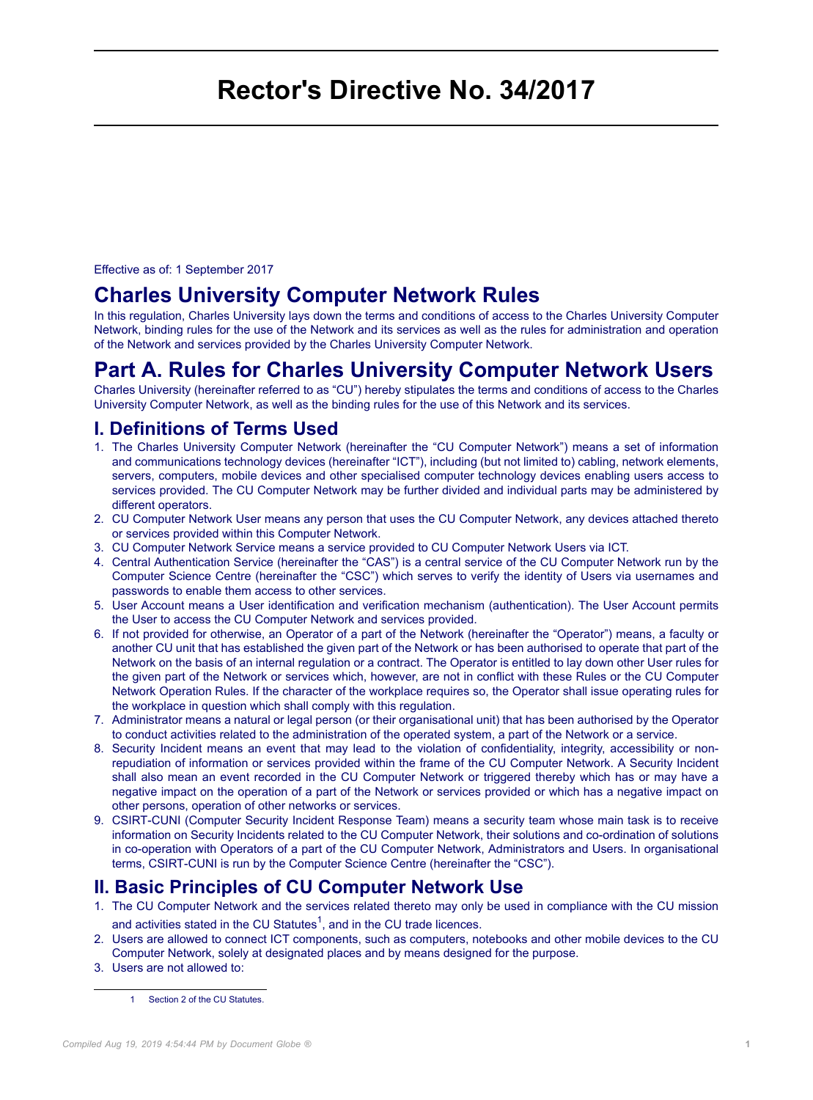# <span id="page-0-0"></span>**Rector's Directive No. 34/2017**

Effective as of: 1 September 2017

# **Charles University Computer Network Rules**

In this regulation, Charles University lays down the terms and conditions of access to the Charles University Computer Network, binding rules for the use of the Network and its services as well as the rules for administration and operation of the Network and services provided by the Charles University Computer Network.

# **Part A. Rules for Charles University Computer Network Users**

Charles University (hereinafter referred to as "CU") hereby stipulates the terms and conditions of access to the Charles University Computer Network, as well as the binding rules for the use of this Network and its services.

### **I. Definitions of Terms Used**

- 1. The Charles University Computer Network (hereinafter the "CU Computer Network") means a set of information and communications technology devices (hereinafter "ICT"), including (but not limited to) cabling, network elements, servers, computers, mobile devices and other specialised computer technology devices enabling users access to services provided. The CU Computer Network may be further divided and individual parts may be administered by different operators.
- 2. CU Computer Network User means any person that uses the CU Computer Network, any devices attached thereto or services provided within this Computer Network.
- 3. CU Computer Network Service means a service provided to CU Computer Network Users via ICT.
- 4. Central Authentication Service (hereinafter the "CAS") is a central service of the CU Computer Network run by the Computer Science Centre (hereinafter the "CSC") which serves to verify the identity of Users via usernames and passwords to enable them access to other services.
- 5. User Account means a User identification and verification mechanism (authentication). The User Account permits the User to access the CU Computer Network and services provided.
- 6. If not provided for otherwise, an Operator of a part of the Network (hereinafter the "Operator") means, a faculty or another CU unit that has established the given part of the Network or has been authorised to operate that part of the Network on the basis of an internal regulation or a contract. The Operator is entitled to lay down other User rules for the given part of the Network or services which, however, are not in conflict with these Rules or the CU Computer Network Operation Rules. If the character of the workplace requires so, the Operator shall issue operating rules for the workplace in question which shall comply with this regulation.
- 7. Administrator means a natural or legal person (or their organisational unit) that has been authorised by the Operator to conduct activities related to the administration of the operated system, a part of the Network or a service.
- 8. Security Incident means an event that may lead to the violation of confidentiality, integrity, accessibility or nonrepudiation of information or services provided within the frame of the CU Computer Network. A Security Incident shall also mean an event recorded in the CU Computer Network or triggered thereby which has or may have a negative impact on the operation of a part of the Network or services provided or which has a negative impact on other persons, operation of other networks or services.
- 9. CSIRT-CUNI (Computer Security Incident Response Team) means a security team whose main task is to receive information on Security Incidents related to the CU Computer Network, their solutions and co-ordination of solutions in co-operation with Operators of a part of the CU Computer Network, Administrators and Users. In organisational terms, CSIRT-CUNI is run by the Computer Science Centre (hereinafter the "CSC").

### **II. Basic Principles of CU Computer Network Use**

- 1. The CU Computer Network and the services related thereto may only be used in compliance with the CU mission and activities stated in the CU Statutes<sup>1</sup>, and in the CU trade licences.
- 2. Users are allowed to connect ICT components, such as computers, notebooks and other mobile devices to the CU Computer Network, solely at designated places and by means designed for the purpose.
- 3. Users are not allowed to:

1 Section 2 of the CU Statutes.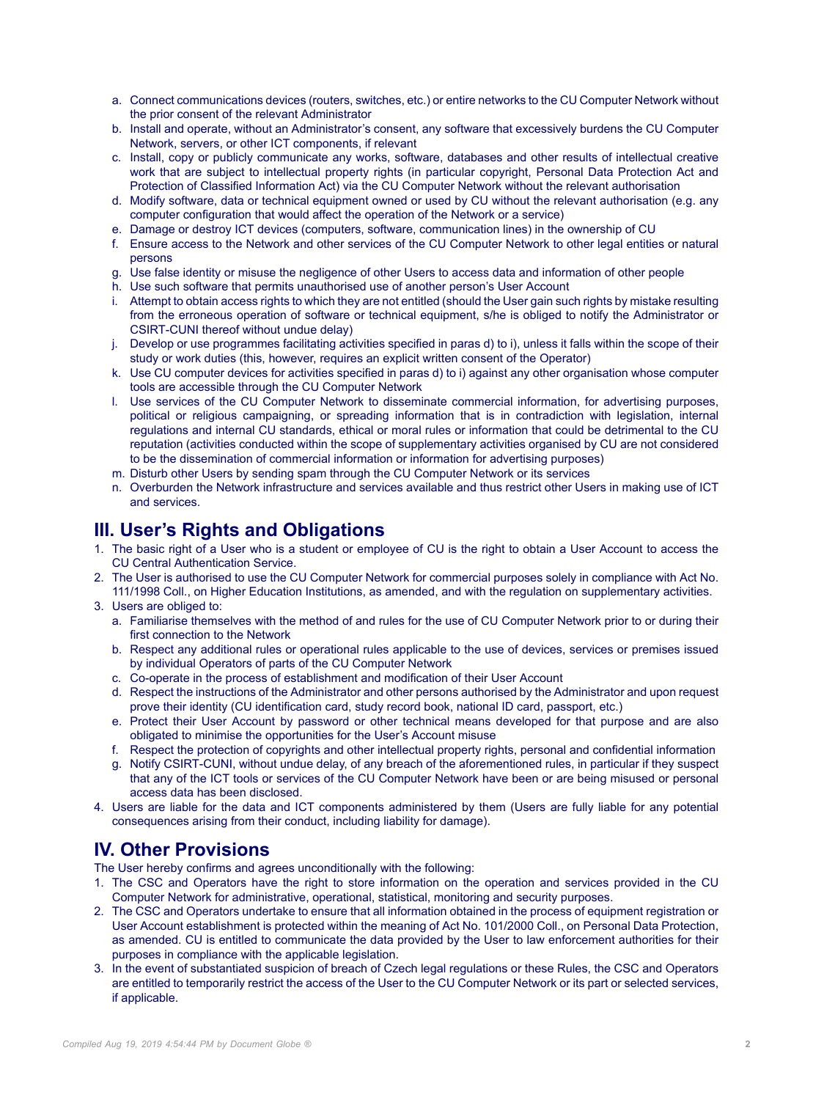- a. Connect communications devices (routers, switches, etc.) or entire networks to the CU Computer Network without the prior consent of the relevant Administrator
- b. Install and operate, without an Administrator's consent, any software that excessively burdens the CU Computer Network, servers, or other ICT components, if relevant
- c. Install, copy or publicly communicate any works, software, databases and other results of intellectual creative work that are subject to intellectual property rights (in particular copyright, Personal Data Protection Act and Protection of Classified Information Act) via the CU Computer Network without the relevant authorisation
- d. Modify software, data or technical equipment owned or used by CU without the relevant authorisation (e.g. any computer configuration that would affect the operation of the Network or a service)
- e. Damage or destroy ICT devices (computers, software, communication lines) in the ownership of CU
- f. Ensure access to the Network and other services of the CU Computer Network to other legal entities or natural persons
- g. Use false identity or misuse the negligence of other Users to access data and information of other people
- h. Use such software that permits unauthorised use of another person's User Account
- i. Attempt to obtain access rights to which they are not entitled (should the User gain such rights by mistake resulting from the erroneous operation of software or technical equipment, s/he is obliged to notify the Administrator or CSIRT-CUNI thereof without undue delay)
- j. Develop or use programmes facilitating activities specified in paras d) to i), unless it falls within the scope of their study or work duties (this, however, requires an explicit written consent of the Operator)
- k. Use CU computer devices for activities specified in paras d) to i) against any other organisation whose computer tools are accessible through the CU Computer Network
- l. Use services of the CU Computer Network to disseminate commercial information, for advertising purposes, political or religious campaigning, or spreading information that is in contradiction with legislation, internal regulations and internal CU standards, ethical or moral rules or information that could be detrimental to the CU reputation (activities conducted within the scope of supplementary activities organised by CU are not considered to be the dissemination of commercial information or information for advertising purposes)
- m. Disturb other Users by sending spam through the CU Computer Network or its services
- n. Overburden the Network infrastructure and services available and thus restrict other Users in making use of ICT and services.

#### **III. User's Rights and Obligations**

- 1. The basic right of a User who is a student or employee of CU is the right to obtain a User Account to access the CU Central Authentication Service.
- 2. The User is authorised to use the CU Computer Network for commercial purposes solely in compliance with Act No. 111/1998 Coll., on Higher Education Institutions, as amended, and with the regulation on supplementary activities.
- 3. Users are obliged to:
	- a. Familiarise themselves with the method of and rules for the use of CU Computer Network prior to or during their first connection to the Network
	- b. Respect any additional rules or operational rules applicable to the use of devices, services or premises issued by individual Operators of parts of the CU Computer Network
	- c. Co-operate in the process of establishment and modification of their User Account
	- d. Respect the instructions of the Administrator and other persons authorised by the Administrator and upon request prove their identity (CU identification card, study record book, national ID card, passport, etc.)
	- e. Protect their User Account by password or other technical means developed for that purpose and are also obligated to minimise the opportunities for the User's Account misuse
	- f. Respect the protection of copyrights and other intellectual property rights, personal and confidential information
	- g. Notify CSIRT-CUNI, without undue delay, of any breach of the aforementioned rules, in particular if they suspect that any of the ICT tools or services of the CU Computer Network have been or are being misused or personal access data has been disclosed.
- 4. Users are liable for the data and ICT components administered by them (Users are fully liable for any potential consequences arising from their conduct, including liability for damage).

### **IV. Other Provisions**

The User hereby confirms and agrees unconditionally with the following:

- 1. The CSC and Operators have the right to store information on the operation and services provided in the CU Computer Network for administrative, operational, statistical, monitoring and security purposes.
- 2. The CSC and Operators undertake to ensure that all information obtained in the process of equipment registration or User Account establishment is protected within the meaning of Act No. 101/2000 Coll., on Personal Data Protection, as amended. CU is entitled to communicate the data provided by the User to law enforcement authorities for their purposes in compliance with the applicable legislation.
- 3. In the event of substantiated suspicion of breach of Czech legal regulations or these Rules, the CSC and Operators are entitled to temporarily restrict the access of the User to the CU Computer Network or its part or selected services, if applicable.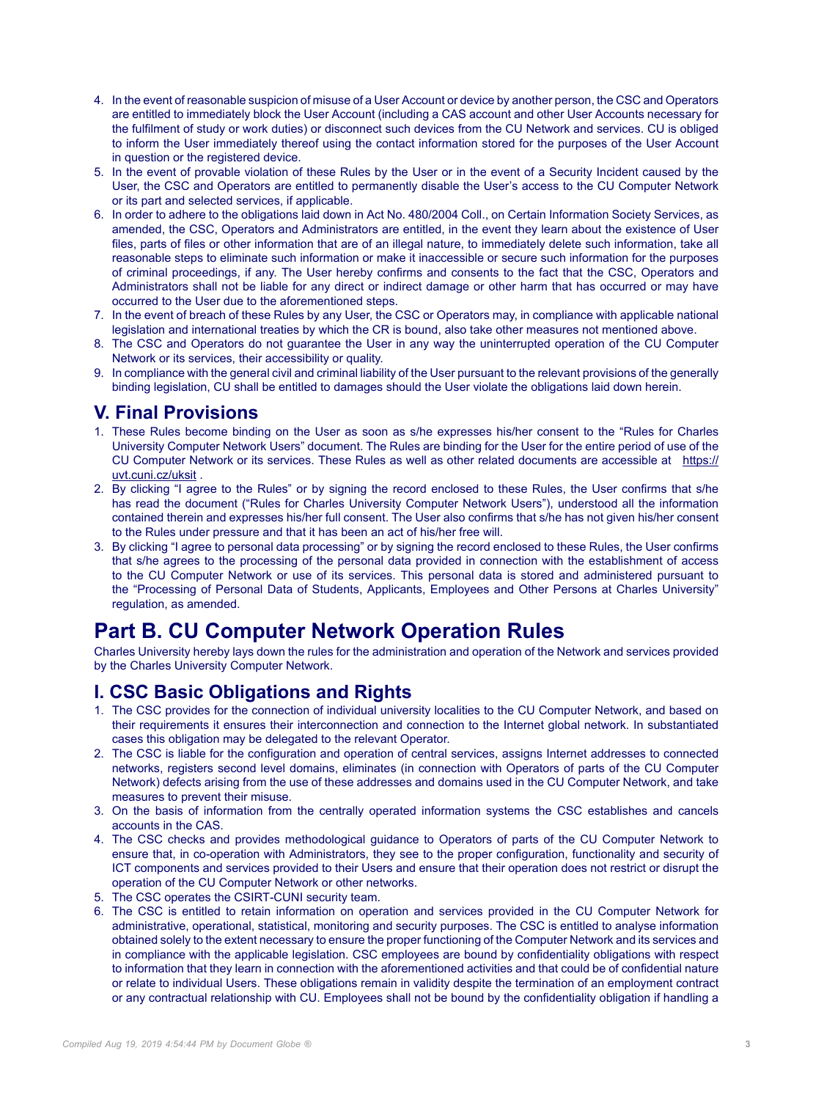- 4. In the event of reasonable suspicion of misuse of a User Account or device by another person, the CSC and Operators are entitled to immediately block the User Account (including a CAS account and other User Accounts necessary for the fulfilment of study or work duties) or disconnect such devices from the CU Network and services. CU is obliged to inform the User immediately thereof using the contact information stored for the purposes of the User Account in question or the registered device.
- 5. In the event of provable violation of these Rules by the User or in the event of a Security Incident caused by the User, the CSC and Operators are entitled to permanently disable the User's access to the CU Computer Network or its part and selected services, if applicable.
- 6. In order to adhere to the obligations laid down in Act No. 480/2004 Coll., on Certain Information Society Services, as amended, the CSC, Operators and Administrators are entitled, in the event they learn about the existence of User files, parts of files or other information that are of an illegal nature, to immediately delete such information, take all reasonable steps to eliminate such information or make it inaccessible or secure such information for the purposes of criminal proceedings, if any. The User hereby confirms and consents to the fact that the CSC, Operators and Administrators shall not be liable for any direct or indirect damage or other harm that has occurred or may have occurred to the User due to the aforementioned steps.
- 7. In the event of breach of these Rules by any User, the CSC or Operators may, in compliance with applicable national legislation and international treaties by which the CR is bound, also take other measures not mentioned above.
- 8. The CSC and Operators do not guarantee the User in any way the uninterrupted operation of the CU Computer Network or its services, their accessibility or quality.
- 9. In compliance with the general civil and criminal liability of the User pursuant to the relevant provisions of the generally binding legislation, CU shall be entitled to damages should the User violate the obligations laid down herein.

#### **V. Final Provisions**

- 1. These Rules become binding on the User as soon as s/he expresses his/her consent to the "Rules for Charles University Computer Network Users" document. The Rules are binding for the User for the entire period of use of the CU Computer Network or its services. These Rules as well as other related documents are accessible at [https://](https://uvt.cuni.cz/uksit) [uvt.cuni.cz/uksit](https://uvt.cuni.cz/uksit) .
- 2. By clicking "I agree to the Rules" or by signing the record enclosed to these Rules, the User confirms that s/he has read the document ("Rules for Charles University Computer Network Users"), understood all the information contained therein and expresses his/her full consent. The User also confirms that s/he has not given his/her consent to the Rules under pressure and that it has been an act of his/her free will.
- 3. By clicking "I agree to personal data processing" or by signing the record enclosed to these Rules, the User confirms that s/he agrees to the processing of the personal data provided in connection with the establishment of access to the CU Computer Network or use of its services. This personal data is stored and administered pursuant to the "Processing of Personal Data of Students, Applicants, Employees and Other Persons at Charles University" regulation, as amended.

# **Part B. CU Computer Network Operation Rules**

Charles University hereby lays down the rules for the administration and operation of the Network and services provided by the Charles University Computer Network.

#### **I. CSC Basic Obligations and Rights**

- 1. The CSC provides for the connection of individual university localities to the CU Computer Network, and based on their requirements it ensures their interconnection and connection to the Internet global network. In substantiated cases this obligation may be delegated to the relevant Operator.
- 2. The CSC is liable for the configuration and operation of central services, assigns Internet addresses to connected networks, registers second level domains, eliminates (in connection with Operators of parts of the CU Computer Network) defects arising from the use of these addresses and domains used in the CU Computer Network, and take measures to prevent their misuse.
- 3. On the basis of information from the centrally operated information systems the CSC establishes and cancels accounts in the CAS.
- 4. The CSC checks and provides methodological guidance to Operators of parts of the CU Computer Network to ensure that, in co-operation with Administrators, they see to the proper configuration, functionality and security of ICT components and services provided to their Users and ensure that their operation does not restrict or disrupt the operation of the CU Computer Network or other networks.
- 5. The CSC operates the CSIRT-CUNI security team.
- 6. The CSC is entitled to retain information on operation and services provided in the CU Computer Network for administrative, operational, statistical, monitoring and security purposes. The CSC is entitled to analyse information obtained solely to the extent necessary to ensure the proper functioning of the Computer Network and its services and in compliance with the applicable legislation. CSC employees are bound by confidentiality obligations with respect to information that they learn in connection with the aforementioned activities and that could be of confidential nature or relate to individual Users. These obligations remain in validity despite the termination of an employment contract or any contractual relationship with CU. Employees shall not be bound by the confidentiality obligation if handling a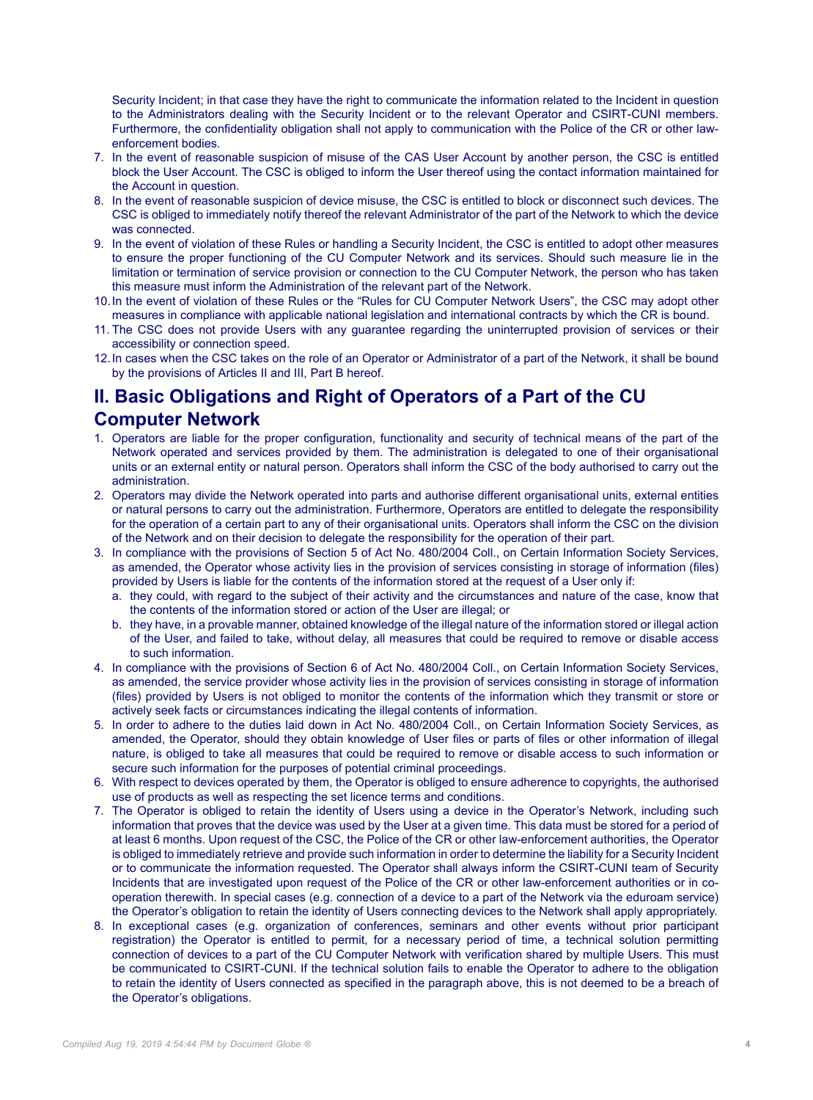Security Incident; in that case they have the right to communicate the information related to the Incident in question to the Administrators dealing with the Security Incident or to the relevant Operator and CSIRT-CUNI members. Furthermore, the confidentiality obligation shall not apply to communication with the Police of the CR or other lawenforcement bodies.

- 7. In the event of reasonable suspicion of misuse of the CAS User Account by another person, the CSC is entitled block the User Account. The CSC is obliged to inform the User thereof using the contact information maintained for the Account in question.
- 8. In the event of reasonable suspicion of device misuse, the CSC is entitled to block or disconnect such devices. The CSC is obliged to immediately notify thereof the relevant Administrator of the part of the Network to which the device was connected.
- 9. In the event of violation of these Rules or handling a Security Incident, the CSC is entitled to adopt other measures to ensure the proper functioning of the CU Computer Network and its services. Should such measure lie in the limitation or termination of service provision or connection to the CU Computer Network, the person who has taken this measure must inform the Administration of the relevant part of the Network.
- 10.In the event of violation of these Rules or the "Rules for CU Computer Network Users", the CSC may adopt other measures in compliance with applicable national legislation and international contracts by which the CR is bound.
- 11. The CSC does not provide Users with any guarantee regarding the uninterrupted provision of services or their accessibility or connection speed.
- 12.In cases when the CSC takes on the role of an Operator or Administrator of a part of the Network, it shall be bound by the provisions of Articles II and III, Part B hereof.

# **II. Basic Obligations and Right of Operators of a Part of the CU Computer Network**

- 1. Operators are liable for the proper configuration, functionality and security of technical means of the part of the Network operated and services provided by them. The administration is delegated to one of their organisational units or an external entity or natural person. Operators shall inform the CSC of the body authorised to carry out the administration.
- 2. Operators may divide the Network operated into parts and authorise different organisational units, external entities or natural persons to carry out the administration. Furthermore, Operators are entitled to delegate the responsibility for the operation of a certain part to any of their organisational units. Operators shall inform the CSC on the division of the Network and on their decision to delegate the responsibility for the operation of their part.
- 3. In compliance with the provisions of Section 5 of Act No. 480/2004 Coll., on Certain Information Society Services, as amended, the Operator whose activity lies in the provision of services consisting in storage of information (files) provided by Users is liable for the contents of the information stored at the request of a User only if:
	- a. they could, with regard to the subject of their activity and the circumstances and nature of the case, know that the contents of the information stored or action of the User are illegal; or
	- b. they have, in a provable manner, obtained knowledge of the illegal nature of the information stored or illegal action of the User, and failed to take, without delay, all measures that could be required to remove or disable access to such information.
- 4. In compliance with the provisions of Section 6 of Act No. 480/2004 Coll., on Certain Information Society Services, as amended, the service provider whose activity lies in the provision of services consisting in storage of information (files) provided by Users is not obliged to monitor the contents of the information which they transmit or store or actively seek facts or circumstances indicating the illegal contents of information.
- 5. In order to adhere to the duties laid down in Act No. 480/2004 Coll., on Certain Information Society Services, as amended, the Operator, should they obtain knowledge of User files or parts of files or other information of illegal nature, is obliged to take all measures that could be required to remove or disable access to such information or secure such information for the purposes of potential criminal proceedings.
- 6. With respect to devices operated by them, the Operator is obliged to ensure adherence to copyrights, the authorised use of products as well as respecting the set licence terms and conditions.
- 7. The Operator is obliged to retain the identity of Users using a device in the Operator's Network, including such information that proves that the device was used by the User at a given time. This data must be stored for a period of at least 6 months. Upon request of the CSC, the Police of the CR or other law-enforcement authorities, the Operator is obliged to immediately retrieve and provide such information in order to determine the liability for a Security Incident or to communicate the information requested. The Operator shall always inform the CSIRT-CUNI team of Security Incidents that are investigated upon request of the Police of the CR or other law-enforcement authorities or in cooperation therewith. In special cases (e.g. connection of a device to a part of the Network via the eduroam service) the Operator's obligation to retain the identity of Users connecting devices to the Network shall apply appropriately.
- 8. In exceptional cases (e.g. organization of conferences, seminars and other events without prior participant registration) the Operator is entitled to permit, for a necessary period of time, a technical solution permitting connection of devices to a part of the CU Computer Network with verification shared by multiple Users. This must be communicated to CSIRT-CUNI. If the technical solution fails to enable the Operator to adhere to the obligation to retain the identity of Users connected as specified in the paragraph above, this is not deemed to be a breach of the Operator's obligations.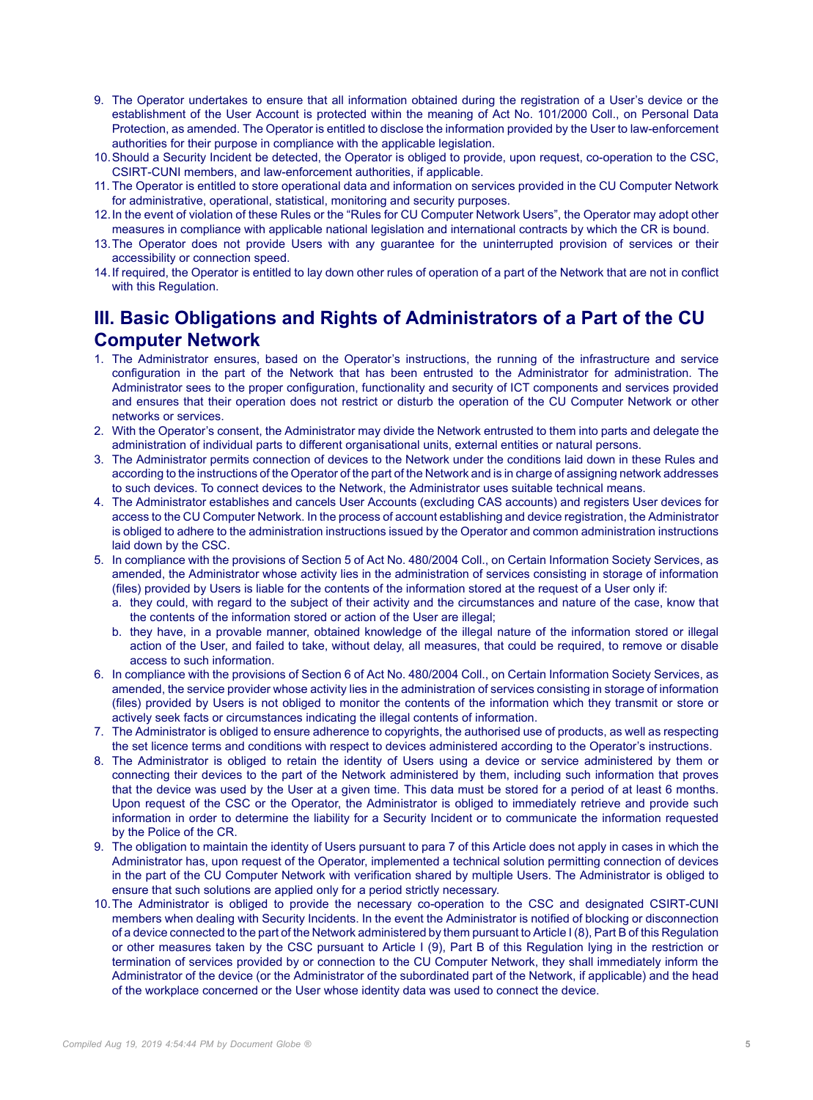- 9. The Operator undertakes to ensure that all information obtained during the registration of a User's device or the establishment of the User Account is protected within the meaning of Act No. 101/2000 Coll., on Personal Data Protection, as amended. The Operator is entitled to disclose the information provided by the User to law-enforcement authorities for their purpose in compliance with the applicable legislation.
- 10.Should a Security Incident be detected, the Operator is obliged to provide, upon request, co-operation to the CSC, CSIRT-CUNI members, and law-enforcement authorities, if applicable.
- 11. The Operator is entitled to store operational data and information on services provided in the CU Computer Network for administrative, operational, statistical, monitoring and security purposes.
- 12.In the event of violation of these Rules or the "Rules for CU Computer Network Users", the Operator may adopt other measures in compliance with applicable national legislation and international contracts by which the CR is bound.
- 13.The Operator does not provide Users with any guarantee for the uninterrupted provision of services or their accessibility or connection speed.
- 14.If required, the Operator is entitled to lay down other rules of operation of a part of the Network that are not in conflict with this Regulation.

# **III. Basic Obligations and Rights of Administrators of a Part of the CU Computer Network**

- 1. The Administrator ensures, based on the Operator's instructions, the running of the infrastructure and service configuration in the part of the Network that has been entrusted to the Administrator for administration. The Administrator sees to the proper configuration, functionality and security of ICT components and services provided and ensures that their operation does not restrict or disturb the operation of the CU Computer Network or other networks or services.
- 2. With the Operator's consent, the Administrator may divide the Network entrusted to them into parts and delegate the administration of individual parts to different organisational units, external entities or natural persons.
- 3. The Administrator permits connection of devices to the Network under the conditions laid down in these Rules and according to the instructions of the Operator of the part of the Network and is in charge of assigning network addresses to such devices. To connect devices to the Network, the Administrator uses suitable technical means.
- 4. The Administrator establishes and cancels User Accounts (excluding CAS accounts) and registers User devices for access to the CU Computer Network. In the process of account establishing and device registration, the Administrator is obliged to adhere to the administration instructions issued by the Operator and common administration instructions laid down by the CSC.
- 5. In compliance with the provisions of Section 5 of Act No. 480/2004 Coll., on Certain Information Society Services, as amended, the Administrator whose activity lies in the administration of services consisting in storage of information (files) provided by Users is liable for the contents of the information stored at the request of a User only if:
	- a. they could, with regard to the subject of their activity and the circumstances and nature of the case, know that the contents of the information stored or action of the User are illegal;
	- b. they have, in a provable manner, obtained knowledge of the illegal nature of the information stored or illegal action of the User, and failed to take, without delay, all measures, that could be required, to remove or disable access to such information.
- 6. In compliance with the provisions of Section 6 of Act No. 480/2004 Coll., on Certain Information Society Services, as amended, the service provider whose activity lies in the administration of services consisting in storage of information (files) provided by Users is not obliged to monitor the contents of the information which they transmit or store or actively seek facts or circumstances indicating the illegal contents of information.
- 7. The Administrator is obliged to ensure adherence to copyrights, the authorised use of products, as well as respecting the set licence terms and conditions with respect to devices administered according to the Operator's instructions.
- 8. The Administrator is obliged to retain the identity of Users using a device or service administered by them or connecting their devices to the part of the Network administered by them, including such information that proves that the device was used by the User at a given time. This data must be stored for a period of at least 6 months. Upon request of the CSC or the Operator, the Administrator is obliged to immediately retrieve and provide such information in order to determine the liability for a Security Incident or to communicate the information requested by the Police of the CR.
- 9. The obligation to maintain the identity of Users pursuant to para 7 of this Article does not apply in cases in which the Administrator has, upon request of the Operator, implemented a technical solution permitting connection of devices in the part of the CU Computer Network with verification shared by multiple Users. The Administrator is obliged to ensure that such solutions are applied only for a period strictly necessary.
- 10.The Administrator is obliged to provide the necessary co-operation to the CSC and designated CSIRT-CUNI members when dealing with Security Incidents. In the event the Administrator is notified of blocking or disconnection of a device connected to the part of the Network administered by them pursuant to Article I (8), Part B of this Regulation or other measures taken by the CSC pursuant to Article I (9), Part B of this Regulation lying in the restriction or termination of services provided by or connection to the CU Computer Network, they shall immediately inform the Administrator of the device (or the Administrator of the subordinated part of the Network, if applicable) and the head of the workplace concerned or the User whose identity data was used to connect the device.